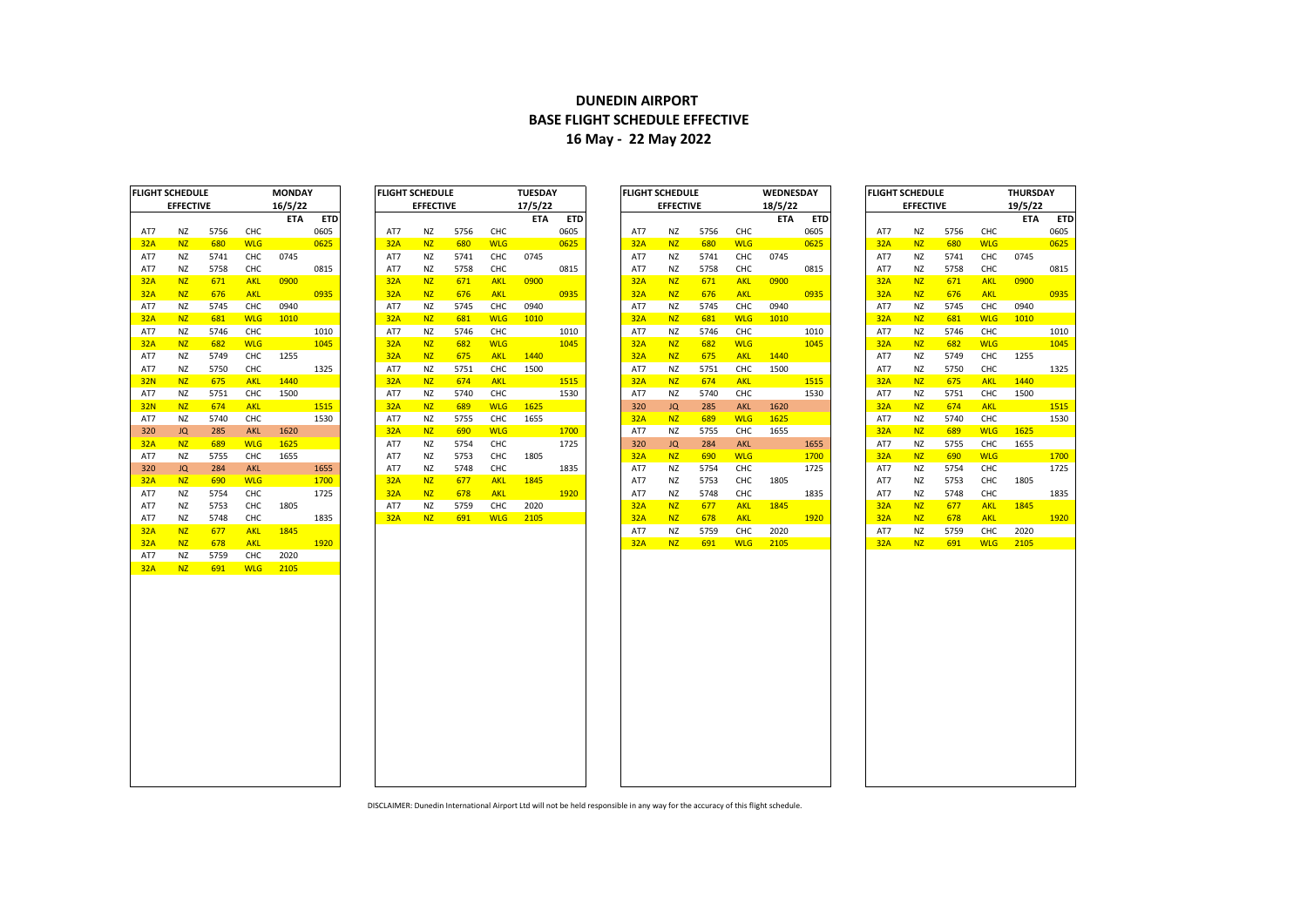## **DUNEDIN AIRPORT BASE FLIGHT SCHEDULE EFFECTIVE 16 May - 22 May 2022**

| FLIGHT SCHEDULE |                  |      |            | MONDAY     |            |
|-----------------|------------------|------|------------|------------|------------|
|                 | <b>EFFECTIVE</b> |      |            | 16/5/22    |            |
|                 |                  |      |            | <b>ETA</b> | <b>ETD</b> |
| AT7             | ΝZ               | 5756 | CHC        |            | 0605       |
| <b>32A</b>      | NZ               | 680  | <b>WLG</b> |            | 0625       |
| AT7             | ΝZ               | 5741 | CHC        | 0745       |            |
| AT7             | ΝZ               | 5758 | CHC        |            | 0815       |
| 32A             | <b>NZ</b>        | 671  | <b>AKL</b> | 0900       |            |
| 32A             | <b>NZ</b>        | 676  | <b>AKL</b> |            | 0935       |
| AT7             | ΝZ               | 5745 | CHC        | 0940       |            |
| 32A             | <b>NZ</b>        | 681  | <b>WLG</b> | 1010       |            |
| AT7             | ΝZ               | 5746 | CHC        |            | 1010       |
| 32A             | <b>NZ</b>        | 682  | <b>WLG</b> |            | 1045       |
| AT7             | ΝZ               | 5749 | CHC        | 1255       |            |
| AT7             | NZ               | 5750 | CHC        |            | 1325       |
| <b>32N</b>      | <b>NZ</b>        | 675  | <b>AKL</b> | 1440       |            |
| AT7             | ΝZ               | 5751 | CHC        | 1500       |            |
| <b>32N</b>      | <b>NZ</b>        | 674  | <b>AKL</b> |            | 1515       |
| AT7             | NZ               | 5740 | CHC        |            | 1530       |
| 320             | JQ               | 285  | <b>AKL</b> | 1620       |            |
| 32A             | <b>NZ</b>        | 689  | <b>WLG</b> | 1625       |            |
| AT7             | NZ               | 5755 | CHC        | 1655       |            |
| 320             | JQ               | 284  | <b>AKL</b> |            | 1655       |
| 32A             | <u>NZ</u>        | 690  | WLG        |            | 1700       |
| AT7             | ΝZ               | 5754 | CHC        |            | 1725       |
| AT7             | ΝZ               | 5753 | CHC        | 1805       |            |
| AT7             | NZ               | 5748 | CHC        |            | 1835       |
| 32A             | <b>NZ</b>        | 677  | <b>AKL</b> | 1845       |            |
| <b>32A</b>      | <b>NZ</b>        | 678  | <b>AKL</b> |            | 1920       |
| AT7             | ΝZ               | 5759 | CHC        | 2020       |            |
| <b>32A</b>      |                  |      | <b>WLG</b> | 2105       |            |
|                 | <b>NZ</b>        | 691  |            |            |            |
|                 |                  |      |            |            |            |

|            | <b>EFFECTIVE</b> |      |            | 17/5/22 |      |
|------------|------------------|------|------------|---------|------|
|            |                  |      |            | ETA     | ETD  |
| AT7        | ΝZ               | 5756 | CHC        |         | 0605 |
| <b>32A</b> | <b>NZ</b>        | 680  | <b>WLG</b> |         | 0625 |
| AT7        | ΝZ               | 5741 | CHC        | 0745    |      |
| AT7        | ΝZ               | 5758 | CHC        |         | 0815 |
| 32A        | <b>NZ</b>        | 671  | <b>AKL</b> | 0900    |      |
| 32A        | ΝZ               | 676  | <b>AKL</b> |         | 0935 |
| AT7        | ΝZ               | 5745 | CHC        | 0940    |      |
| <b>32A</b> | ΝZ               | 681  | <b>WLG</b> | 1010    |      |
| AT7        | ΝZ               | 5746 | CHC        |         | 1010 |
| 32A        | NΖ               | 682  | <b>WLG</b> |         | 1045 |
| 32A        | NΖ               | 675  | <b>AKL</b> | 1440    |      |
| AT7        | ΝZ               | 5751 | CHC        | 1500    |      |
| 32A        | <b>NZ</b>        | 674  | <b>AKL</b> |         | 1515 |
| AT7        | ΝZ               | 5740 | CHC        |         | 1530 |
| <b>32A</b> | <b>NZ</b>        | 689  | <b>WLG</b> | 1625    |      |
| AT7        | ΝZ               | 5755 | CHC        | 1655    |      |
| 32A        | NZ.              | 690  | <b>WLG</b> |         | 1700 |
| AT7        | ΝZ               | 5754 | CHC        |         | 1725 |
| AT7        | ΝZ               | 5753 | CHC        | 1805    |      |
| AT7        | ΝZ               | 5748 | CHC        |         | 1835 |
| 32A        | <b>NZ</b>        | 677  | <b>AKL</b> | 1845    |      |
| 32A        | <b>NZ</b>        | 678  | <b>AKL</b> |         | 1920 |
| AT7        | ΝZ               | 5759 | CHC        | 2020    |      |
| 32A        | <b>NZ</b>        | 691  | <b>WLG</b> | 2105    |      |
|            |                  |      |            |         |      |

| FLIGHT SCHEDULE |                  |      |            | <b>MONDAY</b> |            | I FLIGHT SCHEDULE |                  |      |            | <b>TUESDAY</b> |            | <b>FLIGHT SCHEDULE</b> |                  |      |            | <b>WEDNESDAY</b> |            | <b>IFLIGHT SCHEDULE</b> |                  |      |            | <b>THURSDAY</b> |            |
|-----------------|------------------|------|------------|---------------|------------|-------------------|------------------|------|------------|----------------|------------|------------------------|------------------|------|------------|------------------|------------|-------------------------|------------------|------|------------|-----------------|------------|
|                 | <b>EFFECTIVE</b> |      |            | 16/5/22       |            |                   | <b>EFFECTIVE</b> |      |            | 17/5/22        |            |                        | <b>EFFECTIVE</b> |      |            | 18/5/22          |            |                         | <b>EFFECTIVE</b> |      |            | 19/5/22         |            |
|                 |                  |      |            | <b>ETA</b>    | <b>ETD</b> |                   |                  |      |            | <b>ETA</b>     | <b>ETD</b> |                        |                  |      |            | <b>ETA</b>       | <b>ETD</b> |                         |                  |      |            | <b>ETA</b>      | <b>ETD</b> |
| AT7             | <b>NZ</b>        | 5756 | CHC        |               | 0605       | AT7               | <b>NZ</b>        | 5756 | CHC        |                | 0605       | AT7                    | NZ               | 5756 | CHC        |                  | 0605       | AT7                     | <b>NZ</b>        | 5756 | CHC        |                 | 0605       |
| 32A             | N <sub>Z</sub>   | 680  | <b>WLG</b> |               | 0625       | 32A               | <b>NZ</b>        | 680  | <b>WLG</b> |                | 0625       | 32A                    | N <sub>Z</sub>   | 680  | <b>WLG</b> |                  | 0625       | 32A                     | <b>NZ</b>        | 680  | <b>WLG</b> |                 | 0625       |
| AT7             | <b>NZ</b>        | 5741 | CHC        | 0745          |            | AT7               | <b>NZ</b>        | 5741 | CHC        | 0745           |            | AT7                    | NZ               | 5741 | <b>CHC</b> | 0745             |            | AT7                     | <b>NZ</b>        | 5741 | CHC        | 0745            |            |
| AT7             | NZ               | 5758 | CHC        |               | 0815       | AT7               | <b>NZ</b>        | 5758 | CHC        |                | 0815       | AT7                    | NZ               | 5758 | CHC        |                  | 0815       | AT7                     | <b>NZ</b>        | 5758 | CHC        |                 | 0815       |
| 32A             | <b>NZ</b>        | 671  | <b>AKL</b> | 0900          |            | 32A               | <b>NZ</b>        | 671  | <b>AKL</b> | 0900           |            | 32A                    | <b>NZ</b>        | 671  | <b>AKL</b> | 0900             |            | 32A                     | <b>NZ</b>        | 671  | <b>AKL</b> | 0900            |            |
| 32A             | <b>NZ</b>        | 676  | <b>AKL</b> |               | 0935       | 32A               | <b>NZ</b>        | 676  | <b>AKL</b> |                | 0935       | 32A                    | N <sub>Z</sub>   | 676  | <b>AKL</b> |                  | 0935       | 32A                     | N <sub>Z</sub>   | 676  | <b>AKL</b> |                 | 0935       |
| AT7             | <b>NZ</b>        | 5745 | CHC        | 0940          |            | AT7               | NZ               | 5745 | CHC        | 0940           |            | AT7                    | ΝZ               | 5745 | CHC        | 0940             |            | AT7                     | NZ               | 5745 | CHC        | 0940            |            |
| 32A             | <b>NZ</b>        | 681  | <b>WLG</b> | 1010          |            | 32A               | N <sub>Z</sub>   | 681  | <b>WLG</b> | 1010           |            | 32A                    | N <sub>Z</sub>   | 681  | <b>WLG</b> | 1010             |            | 32A                     | N <sub>Z</sub>   | 681  | <b>WLG</b> | 1010            |            |
| AT7             | NZ               | 5746 | CHC        |               | 1010       | AT7               | NZ               | 5746 | CHC        |                | 1010       | AT7                    | NZ               | 5746 | CHC        |                  | 1010       | AT7                     | <b>NZ</b>        | 5746 | CHC        |                 | 1010       |
| <b>32A</b>      | <b>NZ</b>        | 682  | <b>WLG</b> |               | 1045       | 32A               | <b>NZ</b>        | 682  | <b>WLG</b> |                | 1045       | 32A                    | N <sub>Z</sub>   | 682  | <b>WLG</b> |                  | 1045       | 32A                     | <b>NZ</b>        | 682  | <b>WLG</b> |                 | 1045       |
| AT7             | <b>NZ</b>        | 5749 | CHC        | 1255          |            | 32A               | N <sub>Z</sub>   | 675  | <b>AKL</b> | 1440           |            | 32A                    | N <sub>Z</sub>   | 675  | <b>AKL</b> | 1440             |            | AT7                     | <b>NZ</b>        | 5749 | CHC        | 1255            |            |
| AT7             | NZ               | 5750 | CHC        |               | 1325       | AT7               | <b>NZ</b>        | 5751 | <b>CHC</b> | 1500           |            | AT7                    | <b>NZ</b>        | 5751 | CHC        | 1500             |            | AT7                     | <b>NZ</b>        | 5750 | CHC        |                 | 1325       |
| <b>32N</b>      | N <sub>Z</sub>   | 675  | <b>AKL</b> | 1440          |            | 32A               | <b>NZ</b>        | 674  | <b>AKL</b> |                | 1515       | 32A                    | N <sub>Z</sub>   | 674  | <b>AKL</b> |                  | 1515       | 32A                     | N <sub>Z</sub>   | 675  | <b>AKL</b> | 1440            |            |
| AT7             | NZ               | 5751 | CHC        | 1500          |            | AT7               | <b>NZ</b>        | 5740 | <b>CHC</b> |                | 1530       | AT7                    | NZ.              | 5740 | CHC        |                  | 1530       | AT7                     | <b>NZ</b>        | 5751 | CHC        | 1500            |            |
| <b>32N</b>      | <b>NZ</b>        | 674  | <b>AKL</b> |               | 1515       | 32A               | <b>NZ</b>        | 689  | <b>WLG</b> | 1625           |            | 320                    | JQ               | 285  | <b>AKL</b> | 1620             |            | 32A                     | <b>NZ</b>        | 674  | <b>AKL</b> |                 | 1515       |
| AT7             | <b>NZ</b>        | 5740 | CHC        |               | 1530       | AT7               | <b>NZ</b>        | 5755 | CHC        | 1655           |            | 32A                    | N <sub>Z</sub>   | 689  | <b>WLG</b> | 1625             |            | AT7                     | <b>NZ</b>        | 5740 | CHC        |                 | 1530       |
| 320             | JQ               | 285  | <b>AKL</b> | 1620          |            | 32A               | <b>NZ</b>        | 690  | <b>WLG</b> |                | 1700       | AT7                    | NZ               | 5755 | CHC        | 1655             |            | 32A                     | N <sub>Z</sub>   | 689  | <b>WLG</b> | 1625            |            |
| 32A             | <b>NZ</b>        | 689  | <b>WLG</b> | 1625          |            | AT7               | <b>NZ</b>        | 5754 | CHC        |                | 1725       | 320                    | JQ               | 284  | <b>AKL</b> |                  | 1655       | AT7                     | <b>NZ</b>        | 5755 | CHC        | 1655            |            |
| AT7             | <b>NZ</b>        | 5755 | CHC        | 1655          |            | AT7               | <b>NZ</b>        | 5753 | <b>CHC</b> | 1805           |            | 32A                    | N <sub>Z</sub>   | 690  | <b>WLG</b> |                  | 1700       | 32A                     | <b>NZ</b>        | 690  | <b>WLG</b> |                 | 1700       |
| 320             | JQ               | 284  | <b>AKL</b> |               | 1655       | AT7               | <b>NZ</b>        | 5748 | CHC        |                | 1835       | AT7                    | NZ               | 5754 | CHC        |                  | 1725       | AT7                     | NZ               | 5754 | CHC        |                 | 1725       |
| 32A             | N <sub>Z</sub>   | 690  | <b>WLG</b> |               | 1700       | 32A               | <b>NZ</b>        | 677  | <b>AKL</b> | 1845           |            | AT7                    | NZ               | 5753 | <b>CHC</b> | 1805             |            | AT7                     | <b>NZ</b>        | 5753 | <b>CHC</b> | 1805            |            |
| AT7             | NZ               | 5754 | CHC        |               | 1725       | 32A               | N <sub>Z</sub>   | 678  | <b>AKL</b> |                | 1920       | AT7                    | NZ               | 5748 | CHC        |                  | 1835       | AT7                     | NZ               | 5748 | CHC        |                 | 1835       |
| AT7             | <b>NZ</b>        | 5753 | CHC        | 1805          |            | AT7               | <b>NZ</b>        | 5759 | CHC        | 2020           |            | 32A                    | <b>NZ</b>        | 677  | <b>AKL</b> | 1845             |            | 32A                     | N <sub>Z</sub>   | 677  | <b>AKL</b> | 1845            |            |
| AT7             | <b>NZ</b>        | 5748 | CHC        |               | 1835       | 32A               | <b>NZ</b>        | 691  | <b>WLG</b> | 2105           |            | 32A                    | <b>NZ</b>        | 678  | <b>AKL</b> |                  | 1920       | 32A                     | N <sub>Z</sub>   | 678  | <b>AKL</b> |                 | 1920       |
| 32A             | <b>NZ</b>        | 677  | <b>AKL</b> | 1845          |            |                   |                  |      |            |                |            | AT7                    | NZ               | 5759 | CHC        | 2020             |            | AT7                     | <b>NZ</b>        | 5759 | CHC        | 2020            |            |
| 32A             | N <sub>7</sub>   | 678  | <b>AKL</b> |               | 1920       |                   |                  |      |            |                |            | 32A                    | <b>NZ</b>        | 691  | <b>WLG</b> | 2105             |            | 32A                     | <b>NZ</b>        | 691  | <b>WLG</b> | 2105            |            |

|            | FLIGHT SCHEDULE  |      |            | THURSDAY   |            |
|------------|------------------|------|------------|------------|------------|
|            | <b>EFFECTIVE</b> |      |            | 19/5/22    |            |
|            |                  |      |            | <b>ETA</b> | <b>ETD</b> |
| AT7        | NZ               | 5756 | CHC        |            | 0605       |
| 32A        | <b>NZ</b>        | 680  | <b>WLG</b> |            | 0625       |
| AT7        | NZ               | 5741 | CHC        | 0745       |            |
| AT7        | NZ               | 5758 | CHC        |            | 0815       |
| 32A        | <b>NZ</b>        | 671  | <b>AKL</b> | 0900       |            |
| 32A        | <b>NZ</b>        | 676  | <b>AKL</b> |            | 0935       |
| AT7        | <b>NZ</b>        | 5745 | CHC        | 0940       |            |
| <b>32A</b> | <b>NZ</b>        | 681  | <b>WLG</b> | 1010       |            |
| AT7        | <b>NZ</b>        | 5746 | CHC        |            | 1010       |
| 32A        | <b>NZ</b>        | 682  | <b>WLG</b> |            | 1045       |
| AT7        | NZ               | 5749 | CHC        | 1255       |            |
| AT7        | <b>NZ</b>        | 5750 | CHC        |            | 1325       |
| <b>32A</b> | <b>NZ</b>        | 675  | <b>AKL</b> | 1440       |            |
| AT7        | NZ               | 5751 | CHC        | 1500       |            |
| 32A        | <b>NZ</b>        | 674  | <b>AKL</b> |            | 1515       |
| AT7        | NZ               | 5740 | CHC        |            | 1530       |
| 32A        | <b>NZ</b>        | 689  | <b>WLG</b> | 1625       |            |
| AT7        | <b>NZ</b>        | 5755 | CHC        | 1655       |            |
| 32A        | <b>NZ</b>        | 690  | <b>WLG</b> |            | 1700       |
| AT7        | NZ               | 5754 | CHC        |            | 1725       |
| AT7        | NZ               | 5753 | CHC        | 1805       |            |
| AT7        | <b>NZ</b>        | 5748 | CHC        |            | 1835       |
| 32A        | <b>NZ</b>        | 677  | <b>AKL</b> | 1845       |            |
| 32A        | <b>NZ</b>        | 678  | <b>AKL</b> |            | 1920       |
| AT7        | ΝZ               | 5759 | СНС        | 2020       |            |
| 32A        | <b>NZ</b>        | 691  | <b>WLG</b> | 2105       |            |

**10** 

DISCLAIMER: Dunedin International Airport Ltd will not be held responsible in any way for the accuracy of this flight schedule.